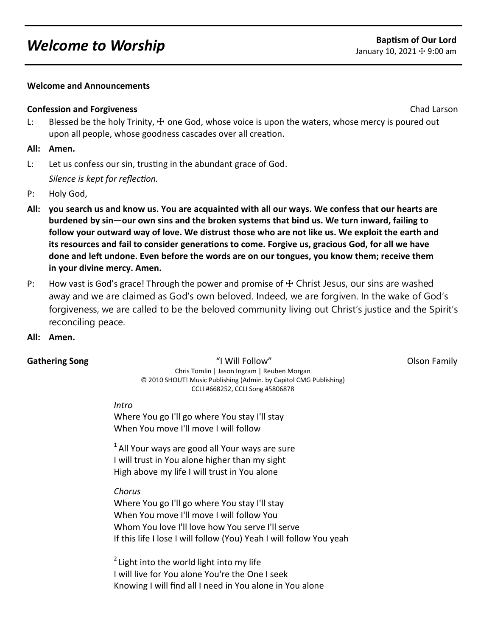# *Welcome to Worship* **Baptism of Our Lord**<br> **Baptism of Our Lord**<br> **Baptism of Our Lord**

### **Welcome and Announcements**

### **Confession and Forgiveness** Chad Larson Chad Larson Chad Larson Chad Larson Chad Larson Chad Larson Chad Larson

L: Blessed be the holy Trinity,  $\pm$  one God, whose voice is upon the waters, whose mercy is poured out upon all people, whose goodness cascades over all creation.

### **All: Amen.**

- L: Let us confess our sin, trusting in the abundant grace of God. *Silence is kept for reflection.*
- P: Holy God,
- **All: you search us and know us. You are acquainted with all our ways. We confess that our hearts are burdened by sin—our own sins and the broken systems that bind us. We turn inward, failing to follow your outward way of love. We distrust those who are not like us. We exploit the earth and its resources and fail to consider generations to come. Forgive us, gracious God, for all we have done and left undone. Even before the words are on our tongues, you know them; receive them in your divine mercy. Amen.**
- P: How vast is God's grace! Through the power and promise of  $\pm$  Christ Jesus, our sins are washed away and we are claimed as God's own beloved. Indeed, we are forgiven. In the wake of God's forgiveness, we are called to be the beloved community living out Christ's justice and the Spirit's reconciling peace.
- **All: Amen.**

**Gathering Song Norman Controllering Song Theory Constructs Are also will Follow" and Constructs Constructs Olson Family Constructs Are also and Theory Constructs Are also and Theory Constructs Are also and Theory Construc** Chris Tomlin | Jason Ingram | Reuben Morgan © 2010 SHOUT! Music Publishing (Admin. by Capitol CMG Publishing) CCLI #668252, CCLI Song #5806878

#### *Intro*

Where You go I'll go where You stay I'll stay When You move I'll move I will follow

 $1$  All Your ways are good all Your ways are sure I will trust in You alone higher than my sight High above my life I will trust in You alone

#### *Chorus*

Where You go I'll go where You stay I'll stay When You move I'll move I will follow You Whom You love I'll love how You serve I'll serve If this life I lose I will follow (You) Yeah I will follow You yeah

 $2$  Light into the world light into my life I will live for You alone You're the One I seek Knowing I will find all I need in You alone in You alone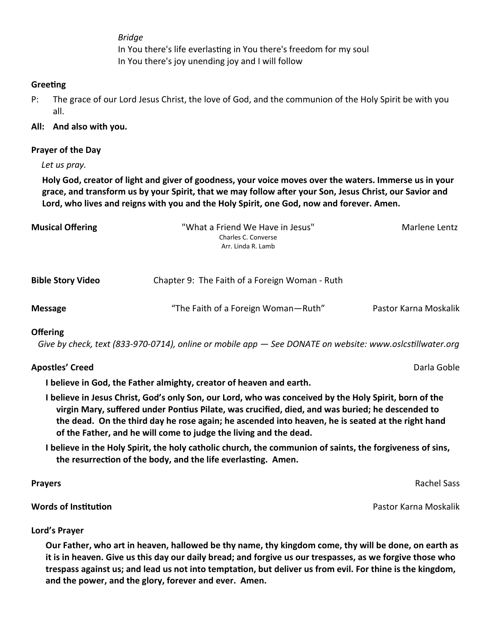*Bridge*  In You there's life everlasting in You there's freedom for my soul In You there's joy unending joy and I will follow

# **Greeting**

P: The grace of our Lord Jesus Christ, the love of God, and the communion of the Holy Spirit be with you all.

# **All: And also with you.**

# **Prayer of the Day**

*Let us pray.*

**Holy God, creator of light and giver of goodness, your voice moves over the waters. Immerse us in your grace, and transform us by your Spirit, that we may follow after your Son, Jesus Christ, our Savior and Lord, who lives and reigns with you and the Holy Spirit, one God, now and forever. Amen.**

| <b>Musical Offering</b>  | "What a Friend We Have in Jesus"<br>Charles C. Converse<br>Arr. Linda R. Lamb | Marlene Lentz |
|--------------------------|-------------------------------------------------------------------------------|---------------|
| <b>Bible Story Video</b> | Chapter 9: The Faith of a Foreign Woman - Ruth                                |               |

# **Offering**

 *Give by check, text (833-970-0714), online or mobile app — See DONATE on website: www.oslcstillwater.org*

**Message** "The Faith of a Foreign Woman—Ruth" Pastor Karna Moskalik

# **Apostles' Creed** Darla Goble

**I believe in God, the Father almighty, creator of heaven and earth.** 

- **I believe in Jesus Christ, God's only Son, our Lord, who was conceived by the Holy Spirit, born of the virgin Mary, suffered under Pontius Pilate, was crucified, died, and was buried; he descended to the dead. On the third day he rose again; he ascended into heaven, he is seated at the right hand of the Father, and he will come to judge the living and the dead.**
- **I believe in the Holy Spirit, the holy catholic church, the communion of saints, the forgiveness of sins, the resurrection of the body, and the life everlasting. Amen.**

**Prayers** Rachel Sass

**Words of Institution** Pastor Karna Moskalik

**Lord's Prayer**

**Our Father, who art in heaven, hallowed be thy name, thy kingdom come, thy will be done, on earth as it is in heaven. Give us this day our daily bread; and forgive us our trespasses, as we forgive those who trespass against us; and lead us not into temptation, but deliver us from evil. For thine is the kingdom, and the power, and the glory, forever and ever. Amen.**